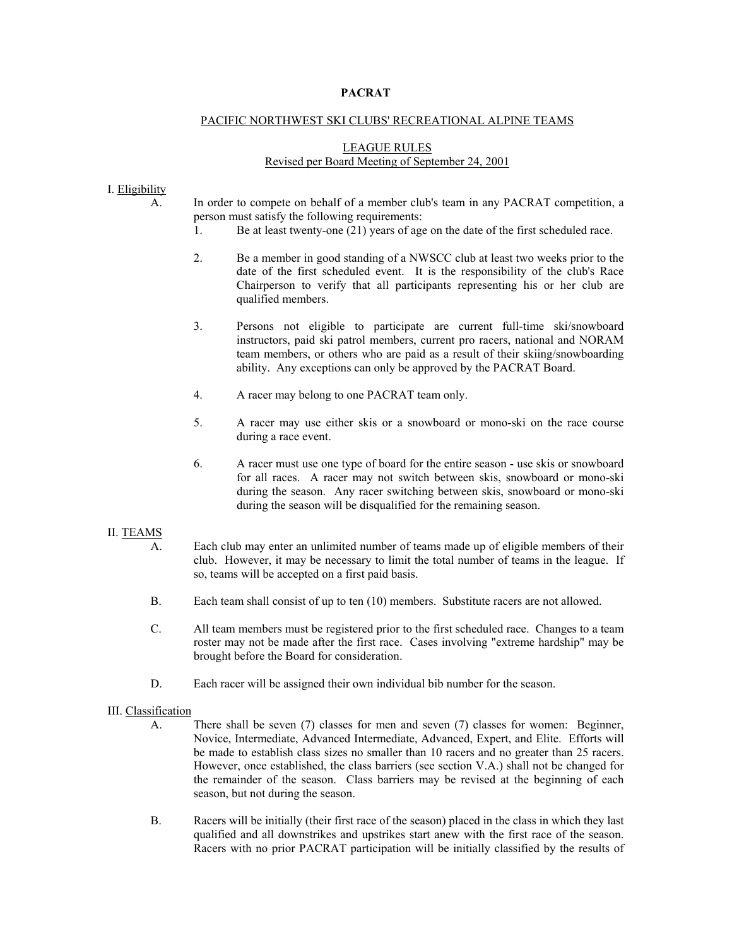# **PACRAT**

### PACIFIC NORTHWEST SKI CLUBS' RECREATIONAL ALPINE TEAMS

# LEAGUE RULES Revised per Board Meeting of September 24, 2001

## I. Eligibility

- A. In order to compete on behalf of a member club's team in any PACRAT competition, a person must satisfy the following requirements:
	- 1. Be at least twenty-one (21) years of age on the date of the first scheduled race.
	- 2. Be a member in good standing of a NWSCC club at least two weeks prior to the date of the first scheduled event. It is the responsibility of the club's Race Chairperson to verify that all participants representing his or her club are qualified members.
	- 3. Persons not eligible to participate are current full-time ski/snowboard instructors, paid ski patrol members, current pro racers, national and NORAM team members, or others who are paid as a result of their skiing/snowboarding ability. Any exceptions can only be approved by the PACRAT Board.
	- 4. A racer may belong to one PACRAT team only.
	- 5. A racer may use either skis or a snowboard or mono-ski on the race course during a race event.
	- 6. A racer must use one type of board for the entire season use skis or snowboard for all races. A racer may not switch between skis, snowboard or mono-ski during the season. Any racer switching between skis, snowboard or mono-ski during the season will be disqualified for the remaining season.

### II. TEAMS

- A. Each club may enter an unlimited number of teams made up of eligible members of their club. However, it may be necessary to limit the total number of teams in the league. If so, teams will be accepted on a first paid basis.
- B. Each team shall consist of up to ten (10) members. Substitute racers are not allowed.
- C. All team members must be registered prior to the first scheduled race. Changes to a team roster may not be made after the first race. Cases involving "extreme hardship" may be brought before the Board for consideration.
- D. Each racer will be assigned their own individual bib number for the season.

### III. Classification

- A. There shall be seven (7) classes for men and seven (7) classes for women: Beginner, Novice, Intermediate, Advanced Intermediate, Advanced, Expert, and Elite. Efforts will be made to establish class sizes no smaller than 10 racers and no greater than 25 racers. However, once established, the class barriers (see section V.A.) shall not be changed for the remainder of the season. Class barriers may be revised at the beginning of each season, but not during the season.
- B. Racers will be initially (their first race of the season) placed in the class in which they last qualified and all downstrikes and upstrikes start anew with the first race of the season. Racers with no prior PACRAT participation will be initially classified by the results of